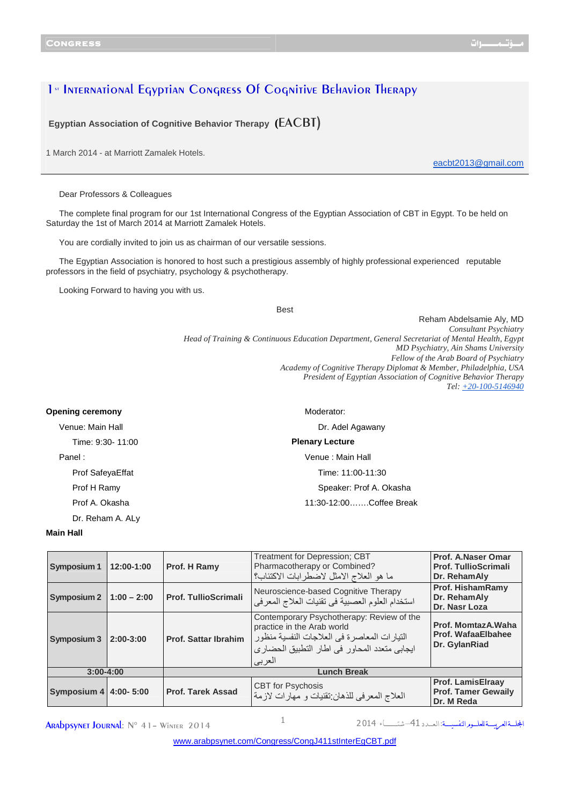## 1<sup>st</sup> International Eqyptian Congress Of Cognitive Behavior Therapy

**Egyptian Association of Cognitive Behavior Therapy (**EACBT)

1 March 2014 - at Marriott Zamalek Hotels.

eacbt2013@gmail.com

Dear Professors & Colleagues

The complete final program for our 1st International Congress of the Egyptian Association of CBT in Egypt. To be held on Saturday the 1st of March 2014 at Marriott Zamalek Hotels.

You are cordially invited to join us as chairman of our versatile sessions.

The Egyptian Association is honored to host such a prestigious assembly of highly professional experienced reputable professors in the field of psychiatry, psychology & psychotherapy.

Looking Forward to having you with us.

Best

Reham Abdelsamie Aly, MD *Consultant Psychiatry Head of Training & Continuous Education Department, General Secretariat of Mental Health, Egypt MD Psychiatry, Ain Shams University Fellow of the Arab Board of Psychiatry Academy of Cognitive Therapy Diplomat & Member, Philadelphia, USA President of Egyptian Association of Cognitive Behavior Therapy Tel: +20-100-5146940*

| <b>Opening ceremony</b> | Moderator:              |  |  |
|-------------------------|-------------------------|--|--|
| Venue: Main Hall        | Dr. Adel Agawany        |  |  |
| Time: 9:30- 11:00       | <b>Plenary Lecture</b>  |  |  |
| Panel:                  | Venue : Main Hall       |  |  |
| Prof SafeyaEffat        | Time: 11:00-11:30       |  |  |
| Prof H Ramy             | Speaker: Prof A. Okasha |  |  |
| Prof A. Okasha          | 11:30-12:00Coffee Break |  |  |
| Dr. Reham A. ALy        |                         |  |  |

## **Main Hall**

| <b>Symposium 1</b>                  | 12:00-1:00    | Prof. H Ramy                | <b>Treatment for Depression; CBT</b><br>Pharmacotherapy or Combined?<br>ما هو العلاج الامثل لاضطرابات الاكتئاب؟                                                                    | Prof. A.Naser Omar<br><b>Prof. TullioScrimali</b><br>Dr. RehamAly    |
|-------------------------------------|---------------|-----------------------------|------------------------------------------------------------------------------------------------------------------------------------------------------------------------------------|----------------------------------------------------------------------|
| Symposium 2                         | $1:00 - 2:00$ | <b>Prof. TullioScrimali</b> | Neuroscience-based Cognitive Therapy<br>استخدام العلوم العصبية في نقنيات العلاج المعرفي                                                                                            | <b>Prof. HishamRamy</b><br>Dr. RehamAly<br>Dr. Nasr Loza             |
| <b>Symposium 3</b>                  | $2:00-3:00$   | <b>Prof. Sattar Ibrahim</b> | Contemporary Psychotherapy: Review of the<br>practice in the Arab world<br>النيار ات المعاصر ة في العلاجات النفسية منظور<br>ايجابي متعدد المحاور في اطار التطبيق الحضاري<br>العربى | Prof. MomtazA. Waha<br>Prof. WafaaElbahee<br>Dr. GylanRiad           |
| <b>Lunch Break</b><br>$3:00 - 4:00$ |               |                             |                                                                                                                                                                                    |                                                                      |
| Symposium 4 4:00- 5:00              |               | <b>Prof. Tarek Assad</b>    | <b>CBT</b> for Psychosis<br>العلاج المعرفي للذهان نقنيات و مهارات لازمة                                                                                                            | <b>Prof. LamisElraay</b><br><b>Prof. Tamer Gewaily</b><br>Dr. M Reda |

**ARADDSYNET JOURNAL:**  $N^{\circ}$  41 - Winter 2014  $1$ 

المجلسةالعربيسة للعلسور النفسيسة